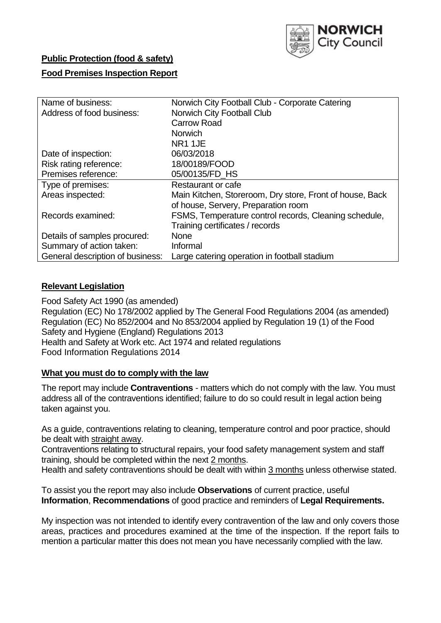

# **Public Protection (food & safety)**

# **Food Premises Inspection Report**

| Name of business:                | Norwich City Football Club - Corporate Catering          |  |  |  |  |  |
|----------------------------------|----------------------------------------------------------|--|--|--|--|--|
| Address of food business:        | Norwich City Football Club                               |  |  |  |  |  |
|                                  | <b>Carrow Road</b>                                       |  |  |  |  |  |
|                                  | <b>Norwich</b>                                           |  |  |  |  |  |
|                                  | NR <sub>1</sub> 1JE                                      |  |  |  |  |  |
| Date of inspection:              | 06/03/2018                                               |  |  |  |  |  |
| Risk rating reference:           | 18/00189/FOOD                                            |  |  |  |  |  |
| Premises reference:              | 05/00135/FD HS                                           |  |  |  |  |  |
| Type of premises:                | Restaurant or cafe                                       |  |  |  |  |  |
| Areas inspected:                 | Main Kitchen, Storeroom, Dry store, Front of house, Back |  |  |  |  |  |
|                                  | of house, Servery, Preparation room                      |  |  |  |  |  |
| Records examined:                | FSMS, Temperature control records, Cleaning schedule,    |  |  |  |  |  |
|                                  | Training certificates / records                          |  |  |  |  |  |
| Details of samples procured:     | <b>None</b>                                              |  |  |  |  |  |
| Summary of action taken:         | Informal                                                 |  |  |  |  |  |
| General description of business: | Large catering operation in football stadium             |  |  |  |  |  |

# **Relevant Legislation**

Food Safety Act 1990 (as amended) Regulation (EC) No 178/2002 applied by The General Food Regulations 2004 (as amended) Regulation (EC) No 852/2004 and No 853/2004 applied by Regulation 19 (1) of the Food Safety and Hygiene (England) Regulations 2013 Health and Safety at Work etc. Act 1974 and related regulations Food Information Regulations 2014

# **What you must do to comply with the law**

The report may include **Contraventions** - matters which do not comply with the law. You must address all of the contraventions identified; failure to do so could result in legal action being taken against you.

As a guide, contraventions relating to cleaning, temperature control and poor practice, should be dealt with straight away.

Contraventions relating to structural repairs, your food safety management system and staff training, should be completed within the next 2 months.

Health and safety contraventions should be dealt with within 3 months unless otherwise stated.

To assist you the report may also include **Observations** of current practice, useful **Information**, **Recommendations** of good practice and reminders of **Legal Requirements.**

My inspection was not intended to identify every contravention of the law and only covers those areas, practices and procedures examined at the time of the inspection. If the report fails to mention a particular matter this does not mean you have necessarily complied with the law.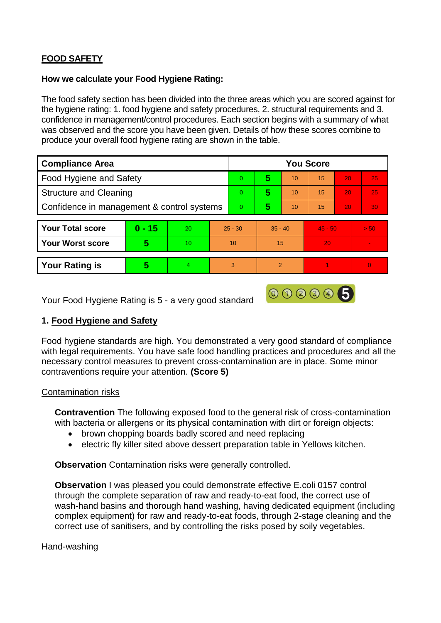# **FOOD SAFETY**

## **How we calculate your Food Hygiene Rating:**

The food safety section has been divided into the three areas which you are scored against for the hygiene rating: 1. food hygiene and safety procedures, 2. structural requirements and 3. confidence in management/control procedures. Each section begins with a summary of what was observed and the score you have been given. Details of how these scores combine to produce your overall food hygiene rating are shown in the table.

| <b>Compliance Area</b>                     |          |    |           | <b>You Score</b> |               |    |           |    |                |  |  |
|--------------------------------------------|----------|----|-----------|------------------|---------------|----|-----------|----|----------------|--|--|
| Food Hygiene and Safety                    |          |    |           | $\overline{0}$   | 5             | 10 | 15        | 20 | 25             |  |  |
| <b>Structure and Cleaning</b>              |          |    |           | $\Omega$         | 5             | 10 | 15        | 20 | 25             |  |  |
| Confidence in management & control systems |          |    |           | $\overline{0}$   | 5             | 10 | 15        | 20 | 30             |  |  |
|                                            |          |    |           |                  |               |    |           |    |                |  |  |
| <b>Your Total score</b>                    | $0 - 15$ | 20 | $25 - 30$ |                  | $35 - 40$     |    | $45 - 50$ |    | > 50           |  |  |
| <b>Your Worst score</b>                    | 5        | 10 | 10        |                  | 15            |    | 20        |    | $\blacksquare$ |  |  |
|                                            |          |    |           |                  |               |    |           |    |                |  |  |
| <b>Your Rating is</b>                      | 5        | 4  | 3         |                  | $\mathcal{P}$ |    |           |    | $\Omega$       |  |  |

Your Food Hygiene Rating is 5 - a very good standard

# **1. Food Hygiene and Safety**

Food hygiene standards are high. You demonstrated a very good standard of compliance with legal requirements. You have safe food handling practices and procedures and all the necessary control measures to prevent cross-contamination are in place. Some minor contraventions require your attention. **(Score 5)**

000005

# Contamination risks

**Contravention** The following exposed food to the general risk of cross-contamination with bacteria or allergens or its physical contamination with dirt or foreign objects:

- brown chopping boards badly scored and need replacing
- electric fly killer sited above dessert preparation table in Yellows kitchen.

**Observation** Contamination risks were generally controlled.

**Observation** I was pleased you could demonstrate effective E.coli 0157 control through the complete separation of raw and ready-to-eat food, the correct use of wash-hand basins and thorough hand washing, having dedicated equipment (including complex equipment) for raw and ready-to-eat foods, through 2-stage cleaning and the correct use of sanitisers, and by controlling the risks posed by soily vegetables.

# Hand-washing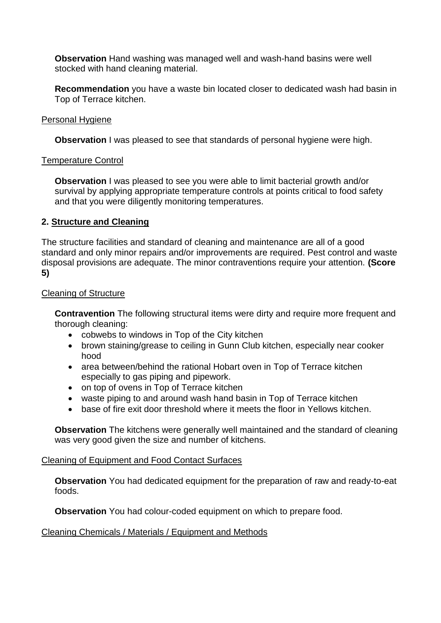**Observation** Hand washing was managed well and wash-hand basins were well stocked with hand cleaning material.

**Recommendation** you have a waste bin located closer to dedicated wash had basin in Top of Terrace kitchen.

#### Personal Hygiene

**Observation** I was pleased to see that standards of personal hygiene were high.

#### Temperature Control

**Observation** I was pleased to see you were able to limit bacterial growth and/or survival by applying appropriate temperature controls at points critical to food safety and that you were diligently monitoring temperatures.

#### **2. Structure and Cleaning**

The structure facilities and standard of cleaning and maintenance are all of a good standard and only minor repairs and/or improvements are required. Pest control and waste disposal provisions are adequate. The minor contraventions require your attention. **(Score 5)**

#### Cleaning of Structure

**Contravention** The following structural items were dirty and require more frequent and thorough cleaning:

- cobwebs to windows in Top of the City kitchen
- brown staining/grease to ceiling in Gunn Club kitchen, especially near cooker hood
- area between/behind the rational Hobart oven in Top of Terrace kitchen especially to gas piping and pipework.
- on top of ovens in Top of Terrace kitchen
- waste piping to and around wash hand basin in Top of Terrace kitchen
- base of fire exit door threshold where it meets the floor in Yellows kitchen.

**Observation** The kitchens were generally well maintained and the standard of cleaning was very good given the size and number of kitchens.

#### Cleaning of Equipment and Food Contact Surfaces

**Observation** You had dedicated equipment for the preparation of raw and ready-to-eat foods.

**Observation** You had colour-coded equipment on which to prepare food.

#### Cleaning Chemicals / Materials / Equipment and Methods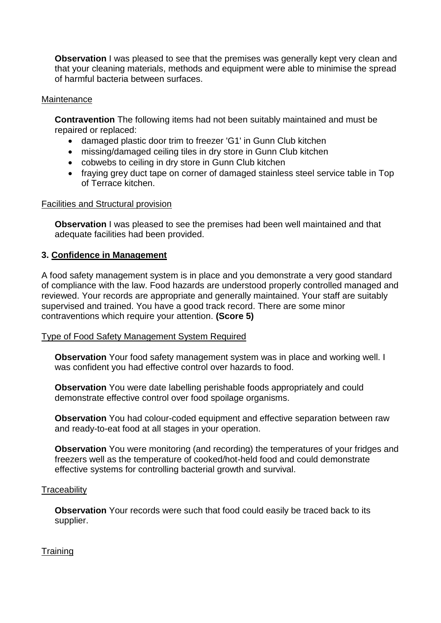**Observation** I was pleased to see that the premises was generally kept very clean and that your cleaning materials, methods and equipment were able to minimise the spread of harmful bacteria between surfaces.

## Maintenance

**Contravention** The following items had not been suitably maintained and must be repaired or replaced:

- damaged plastic door trim to freezer 'G1' in Gunn Club kitchen
- missing/damaged ceiling tiles in dry store in Gunn Club kitchen
- cobwebs to ceiling in dry store in Gunn Club kitchen
- fraying grey duct tape on corner of damaged stainless steel service table in Top of Terrace kitchen.

#### Facilities and Structural provision

**Observation** I was pleased to see the premises had been well maintained and that adequate facilities had been provided.

# **3. Confidence in Management**

A food safety management system is in place and you demonstrate a very good standard of compliance with the law. Food hazards are understood properly controlled managed and reviewed. Your records are appropriate and generally maintained. Your staff are suitably supervised and trained. You have a good track record. There are some minor contraventions which require your attention. **(Score 5)**

# Type of Food Safety Management System Required

**Observation** Your food safety management system was in place and working well. I was confident you had effective control over hazards to food.

**Observation** You were date labelling perishable foods appropriately and could demonstrate effective control over food spoilage organisms.

**Observation** You had colour-coded equipment and effective separation between raw and ready-to-eat food at all stages in your operation.

**Observation** You were monitoring (and recording) the temperatures of your fridges and freezers well as the temperature of cooked/hot-held food and could demonstrate effective systems for controlling bacterial growth and survival.

# **Traceability**

**Observation** Your records were such that food could easily be traced back to its supplier.

# **Training**